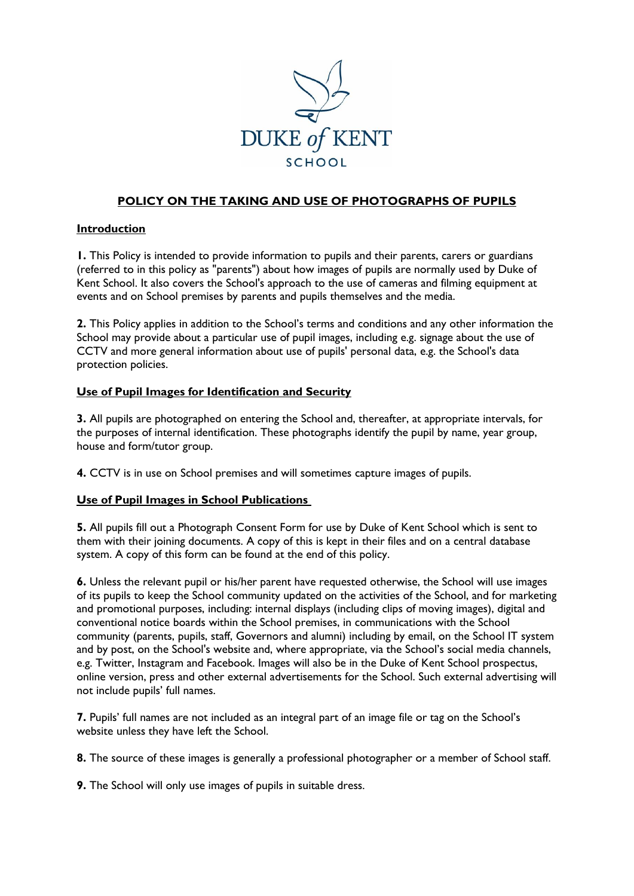

# **POLICY ON THE TAKING AND USE OF PHOTOGRAPHS OF PUPILS**

#### **Introduction**

**1.** This Policy is intended to provide information to pupils and their parents, carers or guardians (referred to in this policy as "parents") about how images of pupils are normally used by Duke of Kent School. It also covers the School's approach to the use of cameras and filming equipment at events and on School premises by parents and pupils themselves and the media.

**2.** This Policy applies in addition to the School's terms and conditions and any other information the School may provide about a particular use of pupil images, including e.g. signage about the use of CCTV and more general information about use of pupils' personal data, e.g. the School's data protection policies.

#### **Use of Pupil Images for Identification and Security**

**3.** All pupils are photographed on entering the School and, thereafter, at appropriate intervals, for the purposes of internal identification. These photographs identify the pupil by name, year group, house and form/tutor group.

**4.** CCTV is in use on School premises and will sometimes capture images of pupils.

### **Use of Pupil Images in School Publications**

**5.** All pupils fill out a Photograph Consent Form for use by Duke of Kent School which is sent to them with their joining documents. A copy of this is kept in their files and on a central database system. A copy of this form can be found at the end of this policy.

**6.** Unless the relevant pupil or his/her parent have requested otherwise, the School will use images of its pupils to keep the School community updated on the activities of the School, and for marketing and promotional purposes, including: internal displays (including clips of moving images), digital and conventional notice boards within the School premises, in communications with the School community (parents, pupils, staff, Governors and alumni) including by email, on the School IT system and by post, on the School's website and, where appropriate, via the School's social media channels, e.g. Twitter, Instagram and Facebook. Images will also be in the Duke of Kent School prospectus, online version, press and other external advertisements for the School. Such external advertising will not include pupils' full names.

**7.** Pupils' full names are not included as an integral part of an image file or tag on the School's website unless they have left the School.

**8.** The source of these images is generally a professional photographer or a member of School staff.

**9.** The School will only use images of pupils in suitable dress.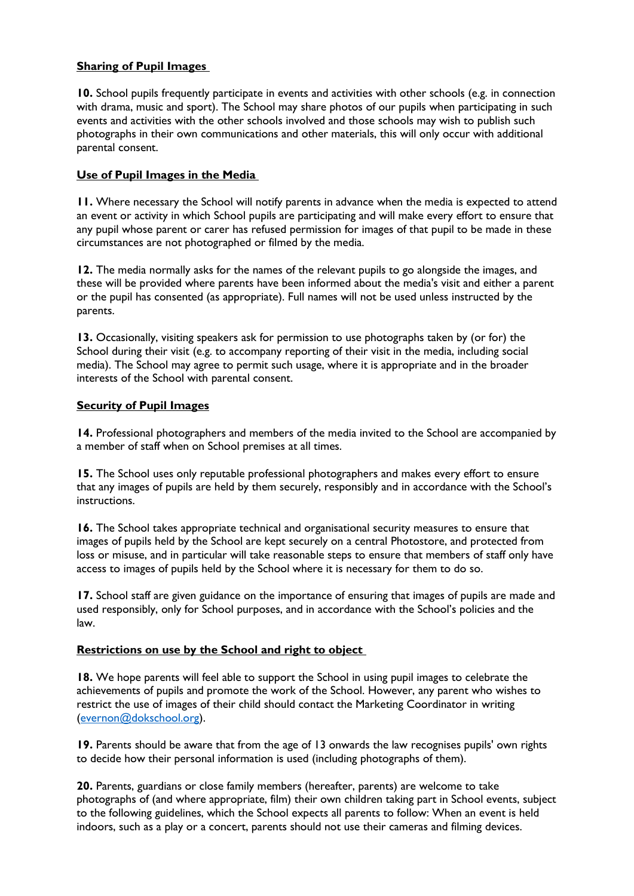### **Sharing of Pupil Images**

**10.** School pupils frequently participate in events and activities with other schools (e.g. in connection with drama, music and sport). The School may share photos of our pupils when participating in such events and activities with the other schools involved and those schools may wish to publish such photographs in their own communications and other materials, this will only occur with additional parental consent.

### **Use of Pupil Images in the Media**

**11.** Where necessary the School will notify parents in advance when the media is expected to attend an event or activity in which School pupils are participating and will make every effort to ensure that any pupil whose parent or carer has refused permission for images of that pupil to be made in these circumstances are not photographed or filmed by the media.

**12.** The media normally asks for the names of the relevant pupils to go alongside the images, and these will be provided where parents have been informed about the media's visit and either a parent or the pupil has consented (as appropriate). Full names will not be used unless instructed by the parents.

**13.** Occasionally, visiting speakers ask for permission to use photographs taken by (or for) the School during their visit (e.g. to accompany reporting of their visit in the media, including social media). The School may agree to permit such usage, where it is appropriate and in the broader interests of the School with parental consent.

### **Security of Pupil Images**

**14.** Professional photographers and members of the media invited to the School are accompanied by a member of staff when on School premises at all times.

**15.** The School uses only reputable professional photographers and makes every effort to ensure that any images of pupils are held by them securely, responsibly and in accordance with the School's instructions.

**16.** The School takes appropriate technical and organisational security measures to ensure that images of pupils held by the School are kept securely on a central Photostore, and protected from loss or misuse, and in particular will take reasonable steps to ensure that members of staff only have access to images of pupils held by the School where it is necessary for them to do so.

**17.** School staff are given guidance on the importance of ensuring that images of pupils are made and used responsibly, only for School purposes, and in accordance with the School's policies and the law.

### **Restrictions on use by the School and right to object**

**18.** We hope parents will feel able to support the School in using pupil images to celebrate the achievements of pupils and promote the work of the School. However, any parent who wishes to restrict the use of images of their child should contact the Marketing Coordinator in writing [\(evernon@dokschool.org\)](mailto:evernon@dokschool.org).

19. Parents should be aware that from the age of 13 onwards the law recognises pupils' own rights to decide how their personal information is used (including photographs of them).

**20.** Parents, guardians or close family members (hereafter, parents) are welcome to take photographs of (and where appropriate, film) their own children taking part in School events, subject to the following guidelines, which the School expects all parents to follow: When an event is held indoors, such as a play or a concert, parents should not use their cameras and filming devices.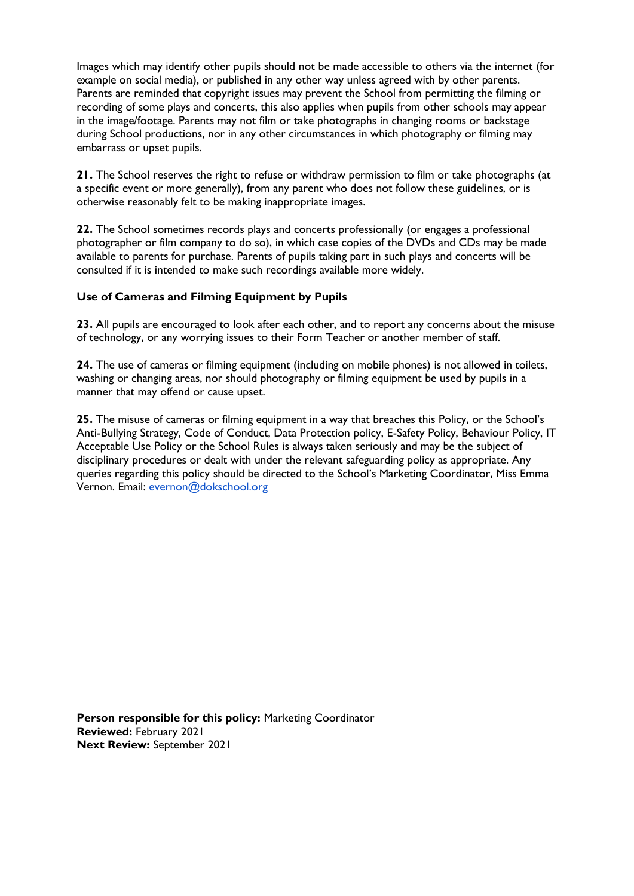Images which may identify other pupils should not be made accessible to others via the internet (for example on social media), or published in any other way unless agreed with by other parents. Parents are reminded that copyright issues may prevent the School from permitting the filming or recording of some plays and concerts, this also applies when pupils from other schools may appear in the image/footage. Parents may not film or take photographs in changing rooms or backstage during School productions, nor in any other circumstances in which photography or filming may embarrass or upset pupils.

**21.** The School reserves the right to refuse or withdraw permission to film or take photographs (at a specific event or more generally), from any parent who does not follow these guidelines, or is otherwise reasonably felt to be making inappropriate images.

**22.** The School sometimes records plays and concerts professionally (or engages a professional photographer or film company to do so), in which case copies of the DVDs and CDs may be made available to parents for purchase. Parents of pupils taking part in such plays and concerts will be consulted if it is intended to make such recordings available more widely.

### **Use of Cameras and Filming Equipment by Pupils**

**23.** All pupils are encouraged to look after each other, and to report any concerns about the misuse of technology, or any worrying issues to their Form Teacher or another member of staff.

**24.** The use of cameras or filming equipment (including on mobile phones) is not allowed in toilets, washing or changing areas, nor should photography or filming equipment be used by pupils in a manner that may offend or cause upset.

**25.** The misuse of cameras or filming equipment in a way that breaches this Policy, or the School's Anti-Bullying Strategy, Code of Conduct, Data Protection policy, E-Safety Policy, Behaviour Policy, IT Acceptable Use Policy or the School Rules is always taken seriously and may be the subject of disciplinary procedures or dealt with under the relevant safeguarding policy as appropriate. Any queries regarding this policy should be directed to the School's Marketing Coordinator, Miss Emma Vernon. Email: [evernon@dokschool.org](mailto:evernon@dokschool.org)

**Person responsible for this policy:** Marketing Coordinator **Reviewed:** February 2021 **Next Review:** September 2021